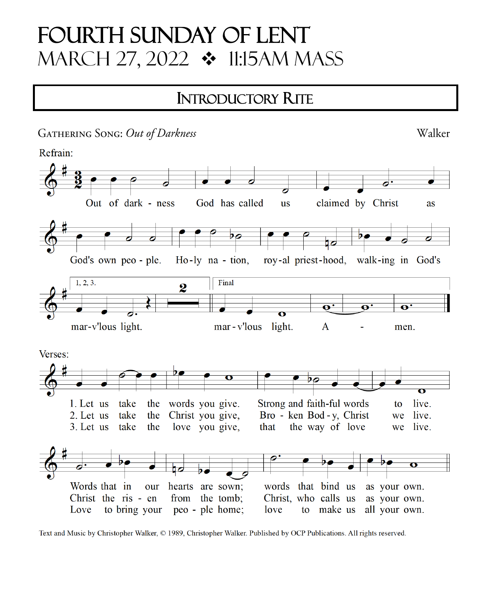# **FOURTH SUNDAY OF LENT** MARCH 27, 2022 ❖ 11:15AM MASS

# **INTRODUCTORY RITE**



Text and Music by Christopher Walker, © 1989, Christopher Walker. Published by OCP Publications. All rights reserved.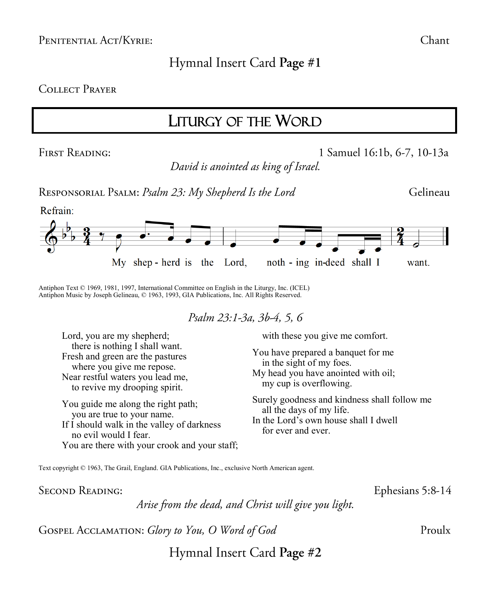## Hymnal Insert Card Page #1

#### **COLLECT PRAYER**

## LITURGY OF THE WORD

**FIRST READING:** 

1 Samuel 16:1b, 6-7, 10-13a

David is anointed as king of Israel.

RESPONSORIAL PSALM: Psalm 23: My Shepherd Is the Lord



Antiphon Text © 1969, 1981, 1997, International Committee on English in the Liturgy, Inc. (ICEL) Antiphon Music by Joseph Gelineau, © 1963, 1993, GIA Publications, Inc. All Rights Reserved.

Psalm 23:1-3a, 3b-4, 5, 6

Lord, you are my shepherd; there is nothing I shall want. Fresh and green are the pastures where you give me repose. Near restful waters you lead me, to revive my drooping spirit.

You guide me along the right path; you are true to your name. If I should walk in the valley of darkness no evil would I fear. You are there with your crook and your staff; with these you give me comfort.

You have prepared a banquet for me in the sight of my foes. My head you have anointed with oil; my cup is overflowing.

Surely goodness and kindness shall follow me all the days of my life. In the Lord's own house shall I dwell for ever and ever.

Text copyright © 1963, The Grail, England. GIA Publications, Inc., exclusive North American agent.

**SECOND READING:** 

Arise from the dead, and Christ will give you light.

GOSPEL ACCLAMATION: Glory to You, O Word of God

Ephesians 5:8-14

Hymnal Insert Card Page #2

Chant

Gelineau

Proulx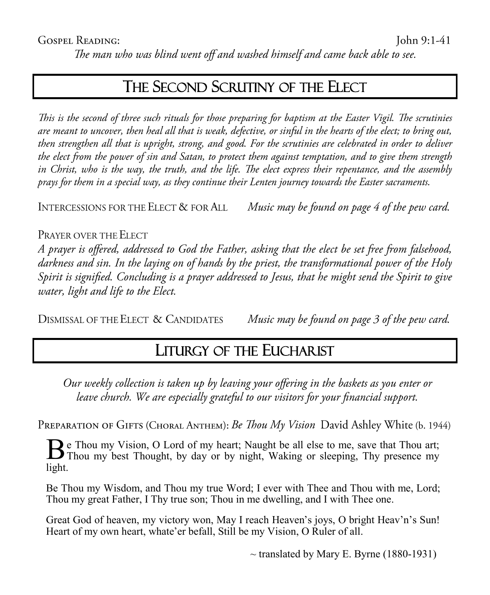The man who was blind went off and washed himself and came back able to see.

## THE SECOND SCRUTINY OF THE ELECT

This is the second of three such rituals for those preparing for baptism at the Easter Vigil. The scrutinies are meant to uncover, then heal all that is weak, defective, or sinful in the hearts of the elect; to bring out, then strengthen all that is upright, strong, and good. For the scrutinies are celebrated in order to deliver the elect from the power of sin and Satan, to protect them against temptation, and to give them strength in Christ, who is the way, the truth, and the life. The elect express their repentance, and the assembly prays for them in a special way, as they continue their Lenten journey towards the Easter sacraments.

INTERCESSIONS FOR THE ELECT & FOR ALL Music may be found on page 4 of the pew card.

#### PRAYER OVER THE ELECT

A prayer is offered, addressed to God the Father, asking that the elect be set free from falsehood, darkness and sin. In the laying on of hands by the priest, the transformational power of the Holy Spirit is signified. Concluding is a prayer addressed to Jesus, that he might send the Spirit to give water, light and life to the Elect.

DISMISSAL OF THE ELECT & CANDIDATES Music may be found on page 3 of the pew card.

## LITURGY OF THE EUCHARIST

Our weekly collection is taken up by leaving your offering in the baskets as you enter or leave church. We are especially grateful to our visitors for your financial support.

PREPARATION OF GIFTS (CHORAL ANTHEM): Be Thou My Vision David Ashley White (b. 1944)

Be Thou my Vision, O Lord of my heart; Naught be all else to me, save that Thou art;<br>Thou my best Thought, by day or by night, Waking or sleeping, Thy presence my  $\mathbf D$  e Thou my Vision, O Lord of my heart; Naught be all else to me, save that Thou art; light.

Be Thou my Wisdom, and Thou my true Word; I ever with Thee and Thou with me, Lord; Thou my great Father, I Thy true son; Thou in me dwelling, and I with Thee one.

Great God of heaven, my victory won, May I reach Heaven's joys, O bright Heav'n's Sun! Heart of my own heart, whate'er befall, Still be my Vision, O Ruler of all.

 $\sim$  translated by Mary E. Byrne (1880-1931)